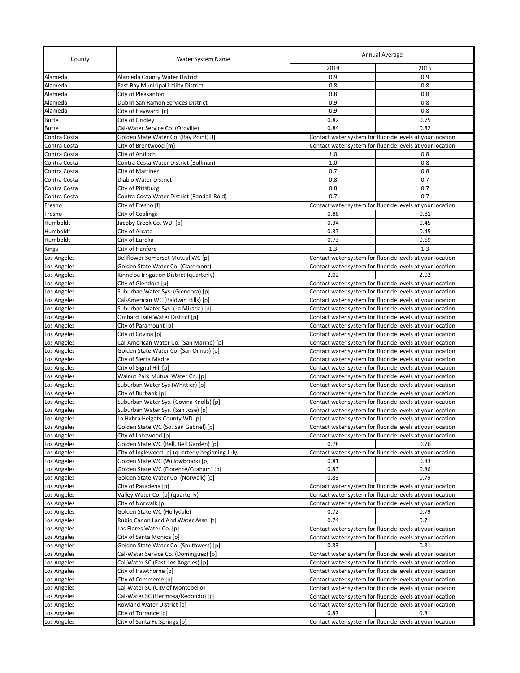| County                     | Water System Name                                                       | Annual Average                                                                                                         |                                                                   |  |
|----------------------------|-------------------------------------------------------------------------|------------------------------------------------------------------------------------------------------------------------|-------------------------------------------------------------------|--|
|                            |                                                                         | 2014                                                                                                                   | 2015                                                              |  |
| Alameda                    | Alameda County Water District                                           | 0.9                                                                                                                    | 0.9                                                               |  |
| Alameda                    | East Bay Municipal Utility District                                     | 0.8                                                                                                                    | 0.8                                                               |  |
| Alameda                    | City of Pleasanton                                                      | 0.8                                                                                                                    | 0.8                                                               |  |
| Alameda                    | Dublin San Ramon Services District                                      | 0.9                                                                                                                    | 0.8                                                               |  |
| Alameda                    | City of Hayward [c]                                                     | 0.9                                                                                                                    | 0.8                                                               |  |
| <b>Butte</b>               | City of Gridley                                                         | 0.82                                                                                                                   | 0.75                                                              |  |
| Butte                      | Cal-Water Service Co. (Oroville)                                        | 0.84                                                                                                                   | 0.82                                                              |  |
| Contra Costa               | Golden State Water Co. (Bay Point) [I]                                  |                                                                                                                        | Contact water system for fluoride levels at your location         |  |
| Contra Costa               | City of Brentwood [m]                                                   |                                                                                                                        | Contact water system for fluoride levels at your location         |  |
| Contra Costa               | City of Antioch                                                         | 1.0                                                                                                                    | 0.8                                                               |  |
| Contra Costa               | Contra Costa Water District (Bollman)                                   | 1.0                                                                                                                    | 0.8                                                               |  |
| Contra Costa               | City of Martinez                                                        | 0.7                                                                                                                    | 0.8                                                               |  |
| Contra Costa               | Diablo Water District                                                   | 0.8                                                                                                                    | 0.7                                                               |  |
| Contra Costa               | City of Pittsburg                                                       | 0.8                                                                                                                    | 0.7                                                               |  |
| Contra Costa               | Contra Costa Water District (Randall-Bold)                              | 0.7                                                                                                                    | 0.7                                                               |  |
| Fresno                     | City of Fresno [f]                                                      | 0.86                                                                                                                   | Contact water system for fluoride levels at your location         |  |
| Fresno                     | City of Coalinga                                                        |                                                                                                                        | 0.81                                                              |  |
| Humboldt<br>Humboldt       | Jacoby Creek Co. WD [b]                                                 | 0.34<br>0.37                                                                                                           | 0.45<br>0.45                                                      |  |
| Humboldt                   | City of Arcata<br>City of Eureka                                        | 0.73                                                                                                                   | 0.69                                                              |  |
|                            | City of Hanford                                                         | 1.3                                                                                                                    | 1.3                                                               |  |
| Kings                      | Bellflower Somerset Mutual WC [p]                                       |                                                                                                                        |                                                                   |  |
| Los Angeles                | Golden State Water Co. (Claremont)                                      |                                                                                                                        | Contact water system for fluoride levels at your location         |  |
| Los Angeles<br>Los Angeles | Kinneloa Irrigation District (quarterly)                                | 2.02                                                                                                                   | Contact water system for fluoride levels at your location<br>2.02 |  |
| Los Angeles                | City of Glendora [p]                                                    | Contact water system for fluoride levels at your location                                                              |                                                                   |  |
| Los Angeles                | Suburban Water Sys. (Glendora) [p]                                      |                                                                                                                        | Contact water system for fluoride levels at your location         |  |
| Los Angeles                | Cal-American WC (Baldwin Hills) [p]                                     | Contact water system for fluoride levels at your location                                                              |                                                                   |  |
| Los Angeles                | Suburban Water Sys. (La Mirada) [p]                                     |                                                                                                                        | Contact water system for fluoride levels at your location         |  |
| Los Angeles                | Orchard Dale Water District [p]                                         |                                                                                                                        | Contact water system for fluoride levels at your location         |  |
| Los Angeles                | City of Paramount [p]                                                   |                                                                                                                        | Contact water system for fluoride levels at your location         |  |
| Los Angeles                | City of Covina [p]                                                      |                                                                                                                        | Contact water system for fluoride levels at your location         |  |
| Los Angeles                | Cal-American Water Co. (San Marino) [p]                                 | Contact water system for fluoride levels at your location                                                              |                                                                   |  |
| Los Angeles                | Golden State Water Co. (San Dimas) [p]                                  |                                                                                                                        | Contact water system for fluoride levels at your location         |  |
| Los Angeles                | City of Sierra Madre                                                    | Contact water system for fluoride levels at your location                                                              |                                                                   |  |
| Los Angeles                | City of Signal Hill [p]                                                 | Contact water system for fluoride levels at your location                                                              |                                                                   |  |
| Los Angeles                | Walnut Park Mutual Water Co. [p]                                        | Contact water system for fluoride levels at your location                                                              |                                                                   |  |
| Los Angeles                | Suburban Water Sys (Whittier) [p]                                       | Contact water system for fluoride levels at your location                                                              |                                                                   |  |
| Los Angeles                | City of Burbank [p]                                                     | Contact water system for fluoride levels at your location                                                              |                                                                   |  |
| Los Angeles                | Suburban Water Sys. (Covina Knolls) [p]                                 | Contact water system for fluoride levels at your location                                                              |                                                                   |  |
| Los Angeles                | Suburban Water Sys. (San Jose) [p]                                      | Contact water system for fluoride levels at your location                                                              |                                                                   |  |
| Los Angeles                | La Habra Heights County WD [p]<br>Golden State WC (So. San Gabriel) [p] | Contact water system for fluoride levels at your location                                                              |                                                                   |  |
| Los Angeles<br>Los Angeles | City of Lakewood [p]                                                    | Contact water system for fluoride levels at your location<br>Contact water system for fluoride levels at your location |                                                                   |  |
| Los Angeles                | Golden State WC (Bell, Bell Garden) [p]                                 | 0.78                                                                                                                   | 0.76                                                              |  |
| Los Angeles                | City of Inglewood [p] (quarterly beginning July)                        |                                                                                                                        | Contact water system for fluoride levels at your location         |  |
| Los Angeles                | Golden State WC (Willowbrook) [p]                                       | 0.81                                                                                                                   | 0.83                                                              |  |
| Los Angeles                | Golden State WC (Florence/Graham) [p]                                   | 0.83                                                                                                                   | 0.86                                                              |  |
| Los Angeles                | Golden State Water Co. (Norwalk) [p]                                    | 0.83                                                                                                                   | 0.79                                                              |  |
| Los Angeles                | City of Pasadena [p]                                                    |                                                                                                                        | Contact water system for fluoride levels at your location         |  |
| Los Angeles                | Valley Water Co. [p] (quarterly)                                        | Contact water system for fluoride levels at your location                                                              |                                                                   |  |
| Los Angeles                | City of Norwalk [p]                                                     |                                                                                                                        | Contact water system for fluoride levels at your location         |  |
| Los Angeles                | Golden State WC (Hollydale)                                             | 0.72                                                                                                                   | 0.79                                                              |  |
| Los Angeles                | Rubio Canon Land And Water Assn. [t]                                    | 0.74                                                                                                                   | 0.71                                                              |  |
| Los Angeles                | Las Flores Water Co. [p]                                                |                                                                                                                        | Contact water system for fluoride levels at your location         |  |
| Los Angeles                | City of Santa Monica [p]                                                |                                                                                                                        | Contact water system for fluoride levels at your location         |  |
| Los Angeles                | Golden State Water Co. (Southwest) [p]                                  | 0.83                                                                                                                   | 0.81                                                              |  |
| Los Angeles                | Cal-Water Service Co. (Dominguez) [p]                                   |                                                                                                                        | Contact water system for fluoride levels at your location         |  |
| Los Angeles                | Cal-Water SC (East Los Angeles) [p]                                     |                                                                                                                        | Contact water system for fluoride levels at your location         |  |
| Los Angeles                | City of Hawthorne [p]<br>City of Commerce [p]                           |                                                                                                                        | Contact water system for fluoride levels at your location         |  |
| Los Angeles<br>Los Angeles | Cal-Water SC (City of Montebello)                                       |                                                                                                                        | Contact water system for fluoride levels at your location         |  |
| Los Angeles                | Cal-Water SC (Hermosa/Redondo) [p]                                      | Contact water system for fluoride levels at your location<br>Contact water system for fluoride levels at your location |                                                                   |  |
| Los Angeles                | Rowland Water District [p]                                              |                                                                                                                        | Contact water system for fluoride levels at your location         |  |
| Los Angeles                | City of Torrance [p]                                                    | 0.87                                                                                                                   | 0.81                                                              |  |
| Los Angeles                | City of Santa Fe Springs [p]                                            |                                                                                                                        | Contact water system for fluoride levels at your location         |  |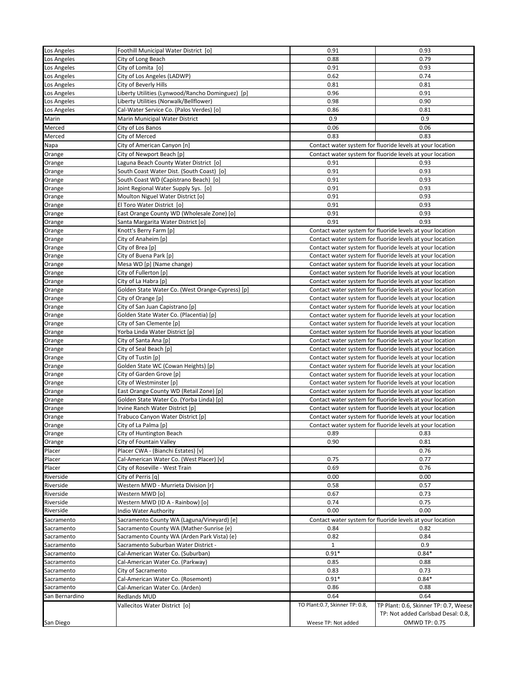| 0.79<br>0.88<br>Los Angeles<br>City of Long Beach<br>0.91<br>0.93<br>Los Angeles<br>City of Lomita [o]<br>0.62<br>0.74<br>City of Los Angeles (LADWP)<br>Los Angeles<br>0.81<br>0.81<br>Los Angeles<br>City of Beverly Hills<br>Liberty Utilities (Lynwood/Rancho Dominguez) [p]<br>0.96<br>0.91<br>Los Angeles<br>Liberty Utilities (Norwalk/Bellflower)<br>0.98<br>0.90<br>Los Angeles<br>0.86<br>Cal-Water Service Co. (Palos Verdes) [o]<br>0.81<br>Los Angeles<br>0.9<br>Marin Municipal Water District<br>0.9<br>Marin<br>0.06<br>0.06<br>Merced<br>City of Los Banos<br>Merced<br>0.83<br>0.83<br>City of Merced<br>City of American Canyon [n]<br>Contact water system for fluoride levels at your location<br>Napa<br>City of Newport Beach [p]<br>Contact water system for fluoride levels at your location<br>Orange<br>Laguna Beach County Water District [o]<br>0.91<br>0.93<br>Orange<br>0.91<br>0.93<br>South Coast Water Dist. (South Coast) [o]<br>Orange<br>South Coast WD (Capistrano Beach) [o]<br>0.91<br>0.93<br>Orange<br>Joint Regional Water Supply Sys. [0]<br>0.91<br>0.93<br>Orange<br>0.91<br>Moulton Niguel Water District [o]<br>0.93<br>Orange<br>El Toro Water District [o]<br>0.91<br>0.93<br>Orange<br>0.91<br>East Orange County WD (Wholesale Zone) [o]<br>0.93<br>Orange<br>0.91<br>Santa Margarita Water District [o]<br>0.93<br>Orange<br>Knott's Berry Farm [p]<br>Contact water system for fluoride levels at your location<br>Orange<br>City of Anaheim [p]<br>Contact water system for fluoride levels at your location<br>Orange<br>City of Brea [p]<br>Contact water system for fluoride levels at your location<br>Orange<br>City of Buena Park [p]<br>Contact water system for fluoride levels at your location<br>Orange<br>Mesa WD [p] (Name change)<br>Contact water system for fluoride levels at your location<br>Orange<br>City of Fullerton [p]<br>Contact water system for fluoride levels at your location<br>Orange<br>City of La Habra [p]<br>Contact water system for fluoride levels at your location<br>Orange<br>Golden State Water Co. (West Orange-Cypress) [p]<br>Contact water system for fluoride levels at your location<br>Orange<br>City of Orange [p]<br>Contact water system for fluoride levels at your location<br>Orange<br>City of San Juan Capistrano [p]<br>Contact water system for fluoride levels at your location<br>Orange<br>Golden State Water Co. (Placentia) [p]<br>Contact water system for fluoride levels at your location<br>Orange<br>City of San Clemente [p]<br>Orange<br>Contact water system for fluoride levels at your location<br>Yorba Linda Water District [p]<br>Contact water system for fluoride levels at your location<br>Orange<br>City of Santa Ana [p]<br>Orange<br>Contact water system for fluoride levels at your location<br>City of Seal Beach [p]<br>Orange<br>Contact water system for fluoride levels at your location<br>City of Tustin [p]<br>Contact water system for fluoride levels at your location<br>Orange<br>Golden State WC (Cowan Heights) [p]<br>Contact water system for fluoride levels at your location<br>Orange<br>City of Garden Grove [p]<br>Contact water system for fluoride levels at your location<br>Orange<br>City of Westminster [p]<br>Orange<br>Contact water system for fluoride levels at your location<br>East Orange County WD (Retail Zone) [p]<br>Contact water system for fluoride levels at your location<br>Orange<br>Golden State Water Co. (Yorba Linda) [p]<br>Contact water system for fluoride levels at your location<br>Orange<br>Irvine Ranch Water District [p]<br>Contact water system for fluoride levels at your location<br>Orange<br>Trabuco Canyon Water District [p]<br>Contact water system for fluoride levels at your location<br>Orange<br>Orange<br>City of La Palma [p]<br>Contact water system for fluoride levels at your location<br>Orange<br>City of Huntington Beach<br>0.89<br>0.83<br>0.90<br>0.81<br>Orange<br>City of Fountain Valley<br>Placer CWA - (Bianchi Estates) [v]<br>0.76<br>Placer<br>0.77<br>Placer<br>Cal-American Water Co. (West Placer) [v]<br>0.75<br>0.69<br>0.76<br>Placer<br>City of Roseville - West Train<br>City of Perris [q]<br>0.00<br>0.00<br>Riverside<br>Riverside<br>Western MWD - Murrieta Division [r]<br>0.58<br>0.57<br>0.67<br>Riverside<br>0.73<br>Western MWD [o]<br>Western MWD (ID A - Rainbow) [0]<br>0.74<br>0.75<br>Riverside<br>Riverside<br>0.00<br>Indio Water Authority<br>0.00<br>Sacramento County WA (Laguna/Vineyard) [e]<br>Contact water system for fluoride levels at your location<br>Sacramento<br>Sacramento County WA (Mather-Sunrise {e}<br>Sacramento<br>0.84<br>0.82<br>0.82<br>0.84<br>Sacramento County WA (Arden Park Vista) {e}<br>Sacramento<br>$\mathbf{1}$<br>0.9<br>Sacramento Suburban Water District -<br>Sacramento<br>$0.91*$<br>$0.84*$<br>Cal-American Water Co. (Suburban)<br>Sacramento<br>Cal-American Water Co. (Parkway)<br>0.85<br>0.88<br>Sacramento<br>0.83<br>0.73<br>City of Sacramento<br>Sacramento<br>$0.91*$<br>Cal-American Water Co. (Rosemont)<br>$0.84*$<br>Sacramento<br>Sacramento<br>Cal-American Water Co. (Arden)<br>0.86<br>0.88<br><b>Redlands MUD</b><br>0.64<br>0.64<br>San Bernardino<br>TP Plant: 0.6, Skinner TP: 0.7, Weese<br>Vallecitos Water District [o]<br>TO Plant: 0.7, Skinner TP: 0.8,<br>TP: Not added Carlsbad Desal: 0.8, | Los Angeles | Foothill Municipal Water District [o] | 0.91                | 0.93          |
|--------------------------------------------------------------------------------------------------------------------------------------------------------------------------------------------------------------------------------------------------------------------------------------------------------------------------------------------------------------------------------------------------------------------------------------------------------------------------------------------------------------------------------------------------------------------------------------------------------------------------------------------------------------------------------------------------------------------------------------------------------------------------------------------------------------------------------------------------------------------------------------------------------------------------------------------------------------------------------------------------------------------------------------------------------------------------------------------------------------------------------------------------------------------------------------------------------------------------------------------------------------------------------------------------------------------------------------------------------------------------------------------------------------------------------------------------------------------------------------------------------------------------------------------------------------------------------------------------------------------------------------------------------------------------------------------------------------------------------------------------------------------------------------------------------------------------------------------------------------------------------------------------------------------------------------------------------------------------------------------------------------------------------------------------------------------------------------------------------------------------------------------------------------------------------------------------------------------------------------------------------------------------------------------------------------------------------------------------------------------------------------------------------------------------------------------------------------------------------------------------------------------------------------------------------------------------------------------------------------------------------------------------------------------------------------------------------------------------------------------------------------------------------------------------------------------------------------------------------------------------------------------------------------------------------------------------------------------------------------------------------------------------------------------------------------------------------------------------------------------------------------------------------------------------------------------------------------------------------------------------------------------------------------------------------------------------------------------------------------------------------------------------------------------------------------------------------------------------------------------------------------------------------------------------------------------------------------------------------------------------------------------------------------------------------------------------------------------------------------------------------------------------------------------------------------------------------------------------------------------------------------------------------------------------------------------------------------------------------------------------------------------------------------------------------------------------------------------------------------------------------------------------------------------------------------------------------------------------------------------------------------------------------------------------------------------------------------------------------------------------------------------------------------------------------------------------------------------------------------------------------------------------------------------------------------------------------------------------------------------------------------------------------------------------------------------------------------------------------------------------------------------------------------------------------------------------------------------------------------------------------------------------------------------------------------------------------------------------------------------------------------------------------------------------------------------------------------------------------------------------------------------------------------------------------------------------------------------------------------------------------------------------------------------------------------------------------------------------------------------------------------------------------------------------------------------|-------------|---------------------------------------|---------------------|---------------|
|                                                                                                                                                                                                                                                                                                                                                                                                                                                                                                                                                                                                                                                                                                                                                                                                                                                                                                                                                                                                                                                                                                                                                                                                                                                                                                                                                                                                                                                                                                                                                                                                                                                                                                                                                                                                                                                                                                                                                                                                                                                                                                                                                                                                                                                                                                                                                                                                                                                                                                                                                                                                                                                                                                                                                                                                                                                                                                                                                                                                                                                                                                                                                                                                                                                                                                                                                                                                                                                                                                                                                                                                                                                                                                                                                                                                                                                                                                                                                                                                                                                                                                                                                                                                                                                                                                                                                                                                                                                                                                                                                                                                                                                                                                                                                                                                                                                                                                                                                                                                                                                                                                                                                                                                                                                                                                                                                                                                                                            |             |                                       |                     |               |
|                                                                                                                                                                                                                                                                                                                                                                                                                                                                                                                                                                                                                                                                                                                                                                                                                                                                                                                                                                                                                                                                                                                                                                                                                                                                                                                                                                                                                                                                                                                                                                                                                                                                                                                                                                                                                                                                                                                                                                                                                                                                                                                                                                                                                                                                                                                                                                                                                                                                                                                                                                                                                                                                                                                                                                                                                                                                                                                                                                                                                                                                                                                                                                                                                                                                                                                                                                                                                                                                                                                                                                                                                                                                                                                                                                                                                                                                                                                                                                                                                                                                                                                                                                                                                                                                                                                                                                                                                                                                                                                                                                                                                                                                                                                                                                                                                                                                                                                                                                                                                                                                                                                                                                                                                                                                                                                                                                                                                                            |             |                                       |                     |               |
|                                                                                                                                                                                                                                                                                                                                                                                                                                                                                                                                                                                                                                                                                                                                                                                                                                                                                                                                                                                                                                                                                                                                                                                                                                                                                                                                                                                                                                                                                                                                                                                                                                                                                                                                                                                                                                                                                                                                                                                                                                                                                                                                                                                                                                                                                                                                                                                                                                                                                                                                                                                                                                                                                                                                                                                                                                                                                                                                                                                                                                                                                                                                                                                                                                                                                                                                                                                                                                                                                                                                                                                                                                                                                                                                                                                                                                                                                                                                                                                                                                                                                                                                                                                                                                                                                                                                                                                                                                                                                                                                                                                                                                                                                                                                                                                                                                                                                                                                                                                                                                                                                                                                                                                                                                                                                                                                                                                                                                            |             |                                       |                     |               |
|                                                                                                                                                                                                                                                                                                                                                                                                                                                                                                                                                                                                                                                                                                                                                                                                                                                                                                                                                                                                                                                                                                                                                                                                                                                                                                                                                                                                                                                                                                                                                                                                                                                                                                                                                                                                                                                                                                                                                                                                                                                                                                                                                                                                                                                                                                                                                                                                                                                                                                                                                                                                                                                                                                                                                                                                                                                                                                                                                                                                                                                                                                                                                                                                                                                                                                                                                                                                                                                                                                                                                                                                                                                                                                                                                                                                                                                                                                                                                                                                                                                                                                                                                                                                                                                                                                                                                                                                                                                                                                                                                                                                                                                                                                                                                                                                                                                                                                                                                                                                                                                                                                                                                                                                                                                                                                                                                                                                                                            |             |                                       |                     |               |
|                                                                                                                                                                                                                                                                                                                                                                                                                                                                                                                                                                                                                                                                                                                                                                                                                                                                                                                                                                                                                                                                                                                                                                                                                                                                                                                                                                                                                                                                                                                                                                                                                                                                                                                                                                                                                                                                                                                                                                                                                                                                                                                                                                                                                                                                                                                                                                                                                                                                                                                                                                                                                                                                                                                                                                                                                                                                                                                                                                                                                                                                                                                                                                                                                                                                                                                                                                                                                                                                                                                                                                                                                                                                                                                                                                                                                                                                                                                                                                                                                                                                                                                                                                                                                                                                                                                                                                                                                                                                                                                                                                                                                                                                                                                                                                                                                                                                                                                                                                                                                                                                                                                                                                                                                                                                                                                                                                                                                                            |             |                                       |                     |               |
|                                                                                                                                                                                                                                                                                                                                                                                                                                                                                                                                                                                                                                                                                                                                                                                                                                                                                                                                                                                                                                                                                                                                                                                                                                                                                                                                                                                                                                                                                                                                                                                                                                                                                                                                                                                                                                                                                                                                                                                                                                                                                                                                                                                                                                                                                                                                                                                                                                                                                                                                                                                                                                                                                                                                                                                                                                                                                                                                                                                                                                                                                                                                                                                                                                                                                                                                                                                                                                                                                                                                                                                                                                                                                                                                                                                                                                                                                                                                                                                                                                                                                                                                                                                                                                                                                                                                                                                                                                                                                                                                                                                                                                                                                                                                                                                                                                                                                                                                                                                                                                                                                                                                                                                                                                                                                                                                                                                                                                            |             |                                       |                     |               |
|                                                                                                                                                                                                                                                                                                                                                                                                                                                                                                                                                                                                                                                                                                                                                                                                                                                                                                                                                                                                                                                                                                                                                                                                                                                                                                                                                                                                                                                                                                                                                                                                                                                                                                                                                                                                                                                                                                                                                                                                                                                                                                                                                                                                                                                                                                                                                                                                                                                                                                                                                                                                                                                                                                                                                                                                                                                                                                                                                                                                                                                                                                                                                                                                                                                                                                                                                                                                                                                                                                                                                                                                                                                                                                                                                                                                                                                                                                                                                                                                                                                                                                                                                                                                                                                                                                                                                                                                                                                                                                                                                                                                                                                                                                                                                                                                                                                                                                                                                                                                                                                                                                                                                                                                                                                                                                                                                                                                                                            |             |                                       |                     |               |
|                                                                                                                                                                                                                                                                                                                                                                                                                                                                                                                                                                                                                                                                                                                                                                                                                                                                                                                                                                                                                                                                                                                                                                                                                                                                                                                                                                                                                                                                                                                                                                                                                                                                                                                                                                                                                                                                                                                                                                                                                                                                                                                                                                                                                                                                                                                                                                                                                                                                                                                                                                                                                                                                                                                                                                                                                                                                                                                                                                                                                                                                                                                                                                                                                                                                                                                                                                                                                                                                                                                                                                                                                                                                                                                                                                                                                                                                                                                                                                                                                                                                                                                                                                                                                                                                                                                                                                                                                                                                                                                                                                                                                                                                                                                                                                                                                                                                                                                                                                                                                                                                                                                                                                                                                                                                                                                                                                                                                                            |             |                                       |                     |               |
|                                                                                                                                                                                                                                                                                                                                                                                                                                                                                                                                                                                                                                                                                                                                                                                                                                                                                                                                                                                                                                                                                                                                                                                                                                                                                                                                                                                                                                                                                                                                                                                                                                                                                                                                                                                                                                                                                                                                                                                                                                                                                                                                                                                                                                                                                                                                                                                                                                                                                                                                                                                                                                                                                                                                                                                                                                                                                                                                                                                                                                                                                                                                                                                                                                                                                                                                                                                                                                                                                                                                                                                                                                                                                                                                                                                                                                                                                                                                                                                                                                                                                                                                                                                                                                                                                                                                                                                                                                                                                                                                                                                                                                                                                                                                                                                                                                                                                                                                                                                                                                                                                                                                                                                                                                                                                                                                                                                                                                            |             |                                       |                     |               |
|                                                                                                                                                                                                                                                                                                                                                                                                                                                                                                                                                                                                                                                                                                                                                                                                                                                                                                                                                                                                                                                                                                                                                                                                                                                                                                                                                                                                                                                                                                                                                                                                                                                                                                                                                                                                                                                                                                                                                                                                                                                                                                                                                                                                                                                                                                                                                                                                                                                                                                                                                                                                                                                                                                                                                                                                                                                                                                                                                                                                                                                                                                                                                                                                                                                                                                                                                                                                                                                                                                                                                                                                                                                                                                                                                                                                                                                                                                                                                                                                                                                                                                                                                                                                                                                                                                                                                                                                                                                                                                                                                                                                                                                                                                                                                                                                                                                                                                                                                                                                                                                                                                                                                                                                                                                                                                                                                                                                                                            |             |                                       |                     |               |
|                                                                                                                                                                                                                                                                                                                                                                                                                                                                                                                                                                                                                                                                                                                                                                                                                                                                                                                                                                                                                                                                                                                                                                                                                                                                                                                                                                                                                                                                                                                                                                                                                                                                                                                                                                                                                                                                                                                                                                                                                                                                                                                                                                                                                                                                                                                                                                                                                                                                                                                                                                                                                                                                                                                                                                                                                                                                                                                                                                                                                                                                                                                                                                                                                                                                                                                                                                                                                                                                                                                                                                                                                                                                                                                                                                                                                                                                                                                                                                                                                                                                                                                                                                                                                                                                                                                                                                                                                                                                                                                                                                                                                                                                                                                                                                                                                                                                                                                                                                                                                                                                                                                                                                                                                                                                                                                                                                                                                                            |             |                                       |                     |               |
|                                                                                                                                                                                                                                                                                                                                                                                                                                                                                                                                                                                                                                                                                                                                                                                                                                                                                                                                                                                                                                                                                                                                                                                                                                                                                                                                                                                                                                                                                                                                                                                                                                                                                                                                                                                                                                                                                                                                                                                                                                                                                                                                                                                                                                                                                                                                                                                                                                                                                                                                                                                                                                                                                                                                                                                                                                                                                                                                                                                                                                                                                                                                                                                                                                                                                                                                                                                                                                                                                                                                                                                                                                                                                                                                                                                                                                                                                                                                                                                                                                                                                                                                                                                                                                                                                                                                                                                                                                                                                                                                                                                                                                                                                                                                                                                                                                                                                                                                                                                                                                                                                                                                                                                                                                                                                                                                                                                                                                            |             |                                       |                     |               |
|                                                                                                                                                                                                                                                                                                                                                                                                                                                                                                                                                                                                                                                                                                                                                                                                                                                                                                                                                                                                                                                                                                                                                                                                                                                                                                                                                                                                                                                                                                                                                                                                                                                                                                                                                                                                                                                                                                                                                                                                                                                                                                                                                                                                                                                                                                                                                                                                                                                                                                                                                                                                                                                                                                                                                                                                                                                                                                                                                                                                                                                                                                                                                                                                                                                                                                                                                                                                                                                                                                                                                                                                                                                                                                                                                                                                                                                                                                                                                                                                                                                                                                                                                                                                                                                                                                                                                                                                                                                                                                                                                                                                                                                                                                                                                                                                                                                                                                                                                                                                                                                                                                                                                                                                                                                                                                                                                                                                                                            |             |                                       |                     |               |
|                                                                                                                                                                                                                                                                                                                                                                                                                                                                                                                                                                                                                                                                                                                                                                                                                                                                                                                                                                                                                                                                                                                                                                                                                                                                                                                                                                                                                                                                                                                                                                                                                                                                                                                                                                                                                                                                                                                                                                                                                                                                                                                                                                                                                                                                                                                                                                                                                                                                                                                                                                                                                                                                                                                                                                                                                                                                                                                                                                                                                                                                                                                                                                                                                                                                                                                                                                                                                                                                                                                                                                                                                                                                                                                                                                                                                                                                                                                                                                                                                                                                                                                                                                                                                                                                                                                                                                                                                                                                                                                                                                                                                                                                                                                                                                                                                                                                                                                                                                                                                                                                                                                                                                                                                                                                                                                                                                                                                                            |             |                                       |                     |               |
|                                                                                                                                                                                                                                                                                                                                                                                                                                                                                                                                                                                                                                                                                                                                                                                                                                                                                                                                                                                                                                                                                                                                                                                                                                                                                                                                                                                                                                                                                                                                                                                                                                                                                                                                                                                                                                                                                                                                                                                                                                                                                                                                                                                                                                                                                                                                                                                                                                                                                                                                                                                                                                                                                                                                                                                                                                                                                                                                                                                                                                                                                                                                                                                                                                                                                                                                                                                                                                                                                                                                                                                                                                                                                                                                                                                                                                                                                                                                                                                                                                                                                                                                                                                                                                                                                                                                                                                                                                                                                                                                                                                                                                                                                                                                                                                                                                                                                                                                                                                                                                                                                                                                                                                                                                                                                                                                                                                                                                            |             |                                       |                     |               |
|                                                                                                                                                                                                                                                                                                                                                                                                                                                                                                                                                                                                                                                                                                                                                                                                                                                                                                                                                                                                                                                                                                                                                                                                                                                                                                                                                                                                                                                                                                                                                                                                                                                                                                                                                                                                                                                                                                                                                                                                                                                                                                                                                                                                                                                                                                                                                                                                                                                                                                                                                                                                                                                                                                                                                                                                                                                                                                                                                                                                                                                                                                                                                                                                                                                                                                                                                                                                                                                                                                                                                                                                                                                                                                                                                                                                                                                                                                                                                                                                                                                                                                                                                                                                                                                                                                                                                                                                                                                                                                                                                                                                                                                                                                                                                                                                                                                                                                                                                                                                                                                                                                                                                                                                                                                                                                                                                                                                                                            |             |                                       |                     |               |
|                                                                                                                                                                                                                                                                                                                                                                                                                                                                                                                                                                                                                                                                                                                                                                                                                                                                                                                                                                                                                                                                                                                                                                                                                                                                                                                                                                                                                                                                                                                                                                                                                                                                                                                                                                                                                                                                                                                                                                                                                                                                                                                                                                                                                                                                                                                                                                                                                                                                                                                                                                                                                                                                                                                                                                                                                                                                                                                                                                                                                                                                                                                                                                                                                                                                                                                                                                                                                                                                                                                                                                                                                                                                                                                                                                                                                                                                                                                                                                                                                                                                                                                                                                                                                                                                                                                                                                                                                                                                                                                                                                                                                                                                                                                                                                                                                                                                                                                                                                                                                                                                                                                                                                                                                                                                                                                                                                                                                                            |             |                                       |                     |               |
|                                                                                                                                                                                                                                                                                                                                                                                                                                                                                                                                                                                                                                                                                                                                                                                                                                                                                                                                                                                                                                                                                                                                                                                                                                                                                                                                                                                                                                                                                                                                                                                                                                                                                                                                                                                                                                                                                                                                                                                                                                                                                                                                                                                                                                                                                                                                                                                                                                                                                                                                                                                                                                                                                                                                                                                                                                                                                                                                                                                                                                                                                                                                                                                                                                                                                                                                                                                                                                                                                                                                                                                                                                                                                                                                                                                                                                                                                                                                                                                                                                                                                                                                                                                                                                                                                                                                                                                                                                                                                                                                                                                                                                                                                                                                                                                                                                                                                                                                                                                                                                                                                                                                                                                                                                                                                                                                                                                                                                            |             |                                       |                     |               |
|                                                                                                                                                                                                                                                                                                                                                                                                                                                                                                                                                                                                                                                                                                                                                                                                                                                                                                                                                                                                                                                                                                                                                                                                                                                                                                                                                                                                                                                                                                                                                                                                                                                                                                                                                                                                                                                                                                                                                                                                                                                                                                                                                                                                                                                                                                                                                                                                                                                                                                                                                                                                                                                                                                                                                                                                                                                                                                                                                                                                                                                                                                                                                                                                                                                                                                                                                                                                                                                                                                                                                                                                                                                                                                                                                                                                                                                                                                                                                                                                                                                                                                                                                                                                                                                                                                                                                                                                                                                                                                                                                                                                                                                                                                                                                                                                                                                                                                                                                                                                                                                                                                                                                                                                                                                                                                                                                                                                                                            |             |                                       |                     |               |
|                                                                                                                                                                                                                                                                                                                                                                                                                                                                                                                                                                                                                                                                                                                                                                                                                                                                                                                                                                                                                                                                                                                                                                                                                                                                                                                                                                                                                                                                                                                                                                                                                                                                                                                                                                                                                                                                                                                                                                                                                                                                                                                                                                                                                                                                                                                                                                                                                                                                                                                                                                                                                                                                                                                                                                                                                                                                                                                                                                                                                                                                                                                                                                                                                                                                                                                                                                                                                                                                                                                                                                                                                                                                                                                                                                                                                                                                                                                                                                                                                                                                                                                                                                                                                                                                                                                                                                                                                                                                                                                                                                                                                                                                                                                                                                                                                                                                                                                                                                                                                                                                                                                                                                                                                                                                                                                                                                                                                                            |             |                                       |                     |               |
|                                                                                                                                                                                                                                                                                                                                                                                                                                                                                                                                                                                                                                                                                                                                                                                                                                                                                                                                                                                                                                                                                                                                                                                                                                                                                                                                                                                                                                                                                                                                                                                                                                                                                                                                                                                                                                                                                                                                                                                                                                                                                                                                                                                                                                                                                                                                                                                                                                                                                                                                                                                                                                                                                                                                                                                                                                                                                                                                                                                                                                                                                                                                                                                                                                                                                                                                                                                                                                                                                                                                                                                                                                                                                                                                                                                                                                                                                                                                                                                                                                                                                                                                                                                                                                                                                                                                                                                                                                                                                                                                                                                                                                                                                                                                                                                                                                                                                                                                                                                                                                                                                                                                                                                                                                                                                                                                                                                                                                            |             |                                       |                     |               |
|                                                                                                                                                                                                                                                                                                                                                                                                                                                                                                                                                                                                                                                                                                                                                                                                                                                                                                                                                                                                                                                                                                                                                                                                                                                                                                                                                                                                                                                                                                                                                                                                                                                                                                                                                                                                                                                                                                                                                                                                                                                                                                                                                                                                                                                                                                                                                                                                                                                                                                                                                                                                                                                                                                                                                                                                                                                                                                                                                                                                                                                                                                                                                                                                                                                                                                                                                                                                                                                                                                                                                                                                                                                                                                                                                                                                                                                                                                                                                                                                                                                                                                                                                                                                                                                                                                                                                                                                                                                                                                                                                                                                                                                                                                                                                                                                                                                                                                                                                                                                                                                                                                                                                                                                                                                                                                                                                                                                                                            |             |                                       |                     |               |
|                                                                                                                                                                                                                                                                                                                                                                                                                                                                                                                                                                                                                                                                                                                                                                                                                                                                                                                                                                                                                                                                                                                                                                                                                                                                                                                                                                                                                                                                                                                                                                                                                                                                                                                                                                                                                                                                                                                                                                                                                                                                                                                                                                                                                                                                                                                                                                                                                                                                                                                                                                                                                                                                                                                                                                                                                                                                                                                                                                                                                                                                                                                                                                                                                                                                                                                                                                                                                                                                                                                                                                                                                                                                                                                                                                                                                                                                                                                                                                                                                                                                                                                                                                                                                                                                                                                                                                                                                                                                                                                                                                                                                                                                                                                                                                                                                                                                                                                                                                                                                                                                                                                                                                                                                                                                                                                                                                                                                                            |             |                                       |                     |               |
|                                                                                                                                                                                                                                                                                                                                                                                                                                                                                                                                                                                                                                                                                                                                                                                                                                                                                                                                                                                                                                                                                                                                                                                                                                                                                                                                                                                                                                                                                                                                                                                                                                                                                                                                                                                                                                                                                                                                                                                                                                                                                                                                                                                                                                                                                                                                                                                                                                                                                                                                                                                                                                                                                                                                                                                                                                                                                                                                                                                                                                                                                                                                                                                                                                                                                                                                                                                                                                                                                                                                                                                                                                                                                                                                                                                                                                                                                                                                                                                                                                                                                                                                                                                                                                                                                                                                                                                                                                                                                                                                                                                                                                                                                                                                                                                                                                                                                                                                                                                                                                                                                                                                                                                                                                                                                                                                                                                                                                            |             |                                       |                     |               |
|                                                                                                                                                                                                                                                                                                                                                                                                                                                                                                                                                                                                                                                                                                                                                                                                                                                                                                                                                                                                                                                                                                                                                                                                                                                                                                                                                                                                                                                                                                                                                                                                                                                                                                                                                                                                                                                                                                                                                                                                                                                                                                                                                                                                                                                                                                                                                                                                                                                                                                                                                                                                                                                                                                                                                                                                                                                                                                                                                                                                                                                                                                                                                                                                                                                                                                                                                                                                                                                                                                                                                                                                                                                                                                                                                                                                                                                                                                                                                                                                                                                                                                                                                                                                                                                                                                                                                                                                                                                                                                                                                                                                                                                                                                                                                                                                                                                                                                                                                                                                                                                                                                                                                                                                                                                                                                                                                                                                                                            |             |                                       |                     |               |
|                                                                                                                                                                                                                                                                                                                                                                                                                                                                                                                                                                                                                                                                                                                                                                                                                                                                                                                                                                                                                                                                                                                                                                                                                                                                                                                                                                                                                                                                                                                                                                                                                                                                                                                                                                                                                                                                                                                                                                                                                                                                                                                                                                                                                                                                                                                                                                                                                                                                                                                                                                                                                                                                                                                                                                                                                                                                                                                                                                                                                                                                                                                                                                                                                                                                                                                                                                                                                                                                                                                                                                                                                                                                                                                                                                                                                                                                                                                                                                                                                                                                                                                                                                                                                                                                                                                                                                                                                                                                                                                                                                                                                                                                                                                                                                                                                                                                                                                                                                                                                                                                                                                                                                                                                                                                                                                                                                                                                                            |             |                                       |                     |               |
|                                                                                                                                                                                                                                                                                                                                                                                                                                                                                                                                                                                                                                                                                                                                                                                                                                                                                                                                                                                                                                                                                                                                                                                                                                                                                                                                                                                                                                                                                                                                                                                                                                                                                                                                                                                                                                                                                                                                                                                                                                                                                                                                                                                                                                                                                                                                                                                                                                                                                                                                                                                                                                                                                                                                                                                                                                                                                                                                                                                                                                                                                                                                                                                                                                                                                                                                                                                                                                                                                                                                                                                                                                                                                                                                                                                                                                                                                                                                                                                                                                                                                                                                                                                                                                                                                                                                                                                                                                                                                                                                                                                                                                                                                                                                                                                                                                                                                                                                                                                                                                                                                                                                                                                                                                                                                                                                                                                                                                            |             |                                       |                     |               |
|                                                                                                                                                                                                                                                                                                                                                                                                                                                                                                                                                                                                                                                                                                                                                                                                                                                                                                                                                                                                                                                                                                                                                                                                                                                                                                                                                                                                                                                                                                                                                                                                                                                                                                                                                                                                                                                                                                                                                                                                                                                                                                                                                                                                                                                                                                                                                                                                                                                                                                                                                                                                                                                                                                                                                                                                                                                                                                                                                                                                                                                                                                                                                                                                                                                                                                                                                                                                                                                                                                                                                                                                                                                                                                                                                                                                                                                                                                                                                                                                                                                                                                                                                                                                                                                                                                                                                                                                                                                                                                                                                                                                                                                                                                                                                                                                                                                                                                                                                                                                                                                                                                                                                                                                                                                                                                                                                                                                                                            |             |                                       |                     |               |
|                                                                                                                                                                                                                                                                                                                                                                                                                                                                                                                                                                                                                                                                                                                                                                                                                                                                                                                                                                                                                                                                                                                                                                                                                                                                                                                                                                                                                                                                                                                                                                                                                                                                                                                                                                                                                                                                                                                                                                                                                                                                                                                                                                                                                                                                                                                                                                                                                                                                                                                                                                                                                                                                                                                                                                                                                                                                                                                                                                                                                                                                                                                                                                                                                                                                                                                                                                                                                                                                                                                                                                                                                                                                                                                                                                                                                                                                                                                                                                                                                                                                                                                                                                                                                                                                                                                                                                                                                                                                                                                                                                                                                                                                                                                                                                                                                                                                                                                                                                                                                                                                                                                                                                                                                                                                                                                                                                                                                                            |             |                                       |                     |               |
|                                                                                                                                                                                                                                                                                                                                                                                                                                                                                                                                                                                                                                                                                                                                                                                                                                                                                                                                                                                                                                                                                                                                                                                                                                                                                                                                                                                                                                                                                                                                                                                                                                                                                                                                                                                                                                                                                                                                                                                                                                                                                                                                                                                                                                                                                                                                                                                                                                                                                                                                                                                                                                                                                                                                                                                                                                                                                                                                                                                                                                                                                                                                                                                                                                                                                                                                                                                                                                                                                                                                                                                                                                                                                                                                                                                                                                                                                                                                                                                                                                                                                                                                                                                                                                                                                                                                                                                                                                                                                                                                                                                                                                                                                                                                                                                                                                                                                                                                                                                                                                                                                                                                                                                                                                                                                                                                                                                                                                            |             |                                       |                     |               |
|                                                                                                                                                                                                                                                                                                                                                                                                                                                                                                                                                                                                                                                                                                                                                                                                                                                                                                                                                                                                                                                                                                                                                                                                                                                                                                                                                                                                                                                                                                                                                                                                                                                                                                                                                                                                                                                                                                                                                                                                                                                                                                                                                                                                                                                                                                                                                                                                                                                                                                                                                                                                                                                                                                                                                                                                                                                                                                                                                                                                                                                                                                                                                                                                                                                                                                                                                                                                                                                                                                                                                                                                                                                                                                                                                                                                                                                                                                                                                                                                                                                                                                                                                                                                                                                                                                                                                                                                                                                                                                                                                                                                                                                                                                                                                                                                                                                                                                                                                                                                                                                                                                                                                                                                                                                                                                                                                                                                                                            |             |                                       |                     |               |
|                                                                                                                                                                                                                                                                                                                                                                                                                                                                                                                                                                                                                                                                                                                                                                                                                                                                                                                                                                                                                                                                                                                                                                                                                                                                                                                                                                                                                                                                                                                                                                                                                                                                                                                                                                                                                                                                                                                                                                                                                                                                                                                                                                                                                                                                                                                                                                                                                                                                                                                                                                                                                                                                                                                                                                                                                                                                                                                                                                                                                                                                                                                                                                                                                                                                                                                                                                                                                                                                                                                                                                                                                                                                                                                                                                                                                                                                                                                                                                                                                                                                                                                                                                                                                                                                                                                                                                                                                                                                                                                                                                                                                                                                                                                                                                                                                                                                                                                                                                                                                                                                                                                                                                                                                                                                                                                                                                                                                                            |             |                                       |                     |               |
|                                                                                                                                                                                                                                                                                                                                                                                                                                                                                                                                                                                                                                                                                                                                                                                                                                                                                                                                                                                                                                                                                                                                                                                                                                                                                                                                                                                                                                                                                                                                                                                                                                                                                                                                                                                                                                                                                                                                                                                                                                                                                                                                                                                                                                                                                                                                                                                                                                                                                                                                                                                                                                                                                                                                                                                                                                                                                                                                                                                                                                                                                                                                                                                                                                                                                                                                                                                                                                                                                                                                                                                                                                                                                                                                                                                                                                                                                                                                                                                                                                                                                                                                                                                                                                                                                                                                                                                                                                                                                                                                                                                                                                                                                                                                                                                                                                                                                                                                                                                                                                                                                                                                                                                                                                                                                                                                                                                                                                            |             |                                       |                     |               |
|                                                                                                                                                                                                                                                                                                                                                                                                                                                                                                                                                                                                                                                                                                                                                                                                                                                                                                                                                                                                                                                                                                                                                                                                                                                                                                                                                                                                                                                                                                                                                                                                                                                                                                                                                                                                                                                                                                                                                                                                                                                                                                                                                                                                                                                                                                                                                                                                                                                                                                                                                                                                                                                                                                                                                                                                                                                                                                                                                                                                                                                                                                                                                                                                                                                                                                                                                                                                                                                                                                                                                                                                                                                                                                                                                                                                                                                                                                                                                                                                                                                                                                                                                                                                                                                                                                                                                                                                                                                                                                                                                                                                                                                                                                                                                                                                                                                                                                                                                                                                                                                                                                                                                                                                                                                                                                                                                                                                                                            |             |                                       |                     |               |
|                                                                                                                                                                                                                                                                                                                                                                                                                                                                                                                                                                                                                                                                                                                                                                                                                                                                                                                                                                                                                                                                                                                                                                                                                                                                                                                                                                                                                                                                                                                                                                                                                                                                                                                                                                                                                                                                                                                                                                                                                                                                                                                                                                                                                                                                                                                                                                                                                                                                                                                                                                                                                                                                                                                                                                                                                                                                                                                                                                                                                                                                                                                                                                                                                                                                                                                                                                                                                                                                                                                                                                                                                                                                                                                                                                                                                                                                                                                                                                                                                                                                                                                                                                                                                                                                                                                                                                                                                                                                                                                                                                                                                                                                                                                                                                                                                                                                                                                                                                                                                                                                                                                                                                                                                                                                                                                                                                                                                                            |             |                                       |                     |               |
|                                                                                                                                                                                                                                                                                                                                                                                                                                                                                                                                                                                                                                                                                                                                                                                                                                                                                                                                                                                                                                                                                                                                                                                                                                                                                                                                                                                                                                                                                                                                                                                                                                                                                                                                                                                                                                                                                                                                                                                                                                                                                                                                                                                                                                                                                                                                                                                                                                                                                                                                                                                                                                                                                                                                                                                                                                                                                                                                                                                                                                                                                                                                                                                                                                                                                                                                                                                                                                                                                                                                                                                                                                                                                                                                                                                                                                                                                                                                                                                                                                                                                                                                                                                                                                                                                                                                                                                                                                                                                                                                                                                                                                                                                                                                                                                                                                                                                                                                                                                                                                                                                                                                                                                                                                                                                                                                                                                                                                            |             |                                       |                     |               |
|                                                                                                                                                                                                                                                                                                                                                                                                                                                                                                                                                                                                                                                                                                                                                                                                                                                                                                                                                                                                                                                                                                                                                                                                                                                                                                                                                                                                                                                                                                                                                                                                                                                                                                                                                                                                                                                                                                                                                                                                                                                                                                                                                                                                                                                                                                                                                                                                                                                                                                                                                                                                                                                                                                                                                                                                                                                                                                                                                                                                                                                                                                                                                                                                                                                                                                                                                                                                                                                                                                                                                                                                                                                                                                                                                                                                                                                                                                                                                                                                                                                                                                                                                                                                                                                                                                                                                                                                                                                                                                                                                                                                                                                                                                                                                                                                                                                                                                                                                                                                                                                                                                                                                                                                                                                                                                                                                                                                                                            |             |                                       |                     |               |
|                                                                                                                                                                                                                                                                                                                                                                                                                                                                                                                                                                                                                                                                                                                                                                                                                                                                                                                                                                                                                                                                                                                                                                                                                                                                                                                                                                                                                                                                                                                                                                                                                                                                                                                                                                                                                                                                                                                                                                                                                                                                                                                                                                                                                                                                                                                                                                                                                                                                                                                                                                                                                                                                                                                                                                                                                                                                                                                                                                                                                                                                                                                                                                                                                                                                                                                                                                                                                                                                                                                                                                                                                                                                                                                                                                                                                                                                                                                                                                                                                                                                                                                                                                                                                                                                                                                                                                                                                                                                                                                                                                                                                                                                                                                                                                                                                                                                                                                                                                                                                                                                                                                                                                                                                                                                                                                                                                                                                                            |             |                                       |                     |               |
|                                                                                                                                                                                                                                                                                                                                                                                                                                                                                                                                                                                                                                                                                                                                                                                                                                                                                                                                                                                                                                                                                                                                                                                                                                                                                                                                                                                                                                                                                                                                                                                                                                                                                                                                                                                                                                                                                                                                                                                                                                                                                                                                                                                                                                                                                                                                                                                                                                                                                                                                                                                                                                                                                                                                                                                                                                                                                                                                                                                                                                                                                                                                                                                                                                                                                                                                                                                                                                                                                                                                                                                                                                                                                                                                                                                                                                                                                                                                                                                                                                                                                                                                                                                                                                                                                                                                                                                                                                                                                                                                                                                                                                                                                                                                                                                                                                                                                                                                                                                                                                                                                                                                                                                                                                                                                                                                                                                                                                            |             |                                       |                     |               |
|                                                                                                                                                                                                                                                                                                                                                                                                                                                                                                                                                                                                                                                                                                                                                                                                                                                                                                                                                                                                                                                                                                                                                                                                                                                                                                                                                                                                                                                                                                                                                                                                                                                                                                                                                                                                                                                                                                                                                                                                                                                                                                                                                                                                                                                                                                                                                                                                                                                                                                                                                                                                                                                                                                                                                                                                                                                                                                                                                                                                                                                                                                                                                                                                                                                                                                                                                                                                                                                                                                                                                                                                                                                                                                                                                                                                                                                                                                                                                                                                                                                                                                                                                                                                                                                                                                                                                                                                                                                                                                                                                                                                                                                                                                                                                                                                                                                                                                                                                                                                                                                                                                                                                                                                                                                                                                                                                                                                                                            |             |                                       |                     |               |
|                                                                                                                                                                                                                                                                                                                                                                                                                                                                                                                                                                                                                                                                                                                                                                                                                                                                                                                                                                                                                                                                                                                                                                                                                                                                                                                                                                                                                                                                                                                                                                                                                                                                                                                                                                                                                                                                                                                                                                                                                                                                                                                                                                                                                                                                                                                                                                                                                                                                                                                                                                                                                                                                                                                                                                                                                                                                                                                                                                                                                                                                                                                                                                                                                                                                                                                                                                                                                                                                                                                                                                                                                                                                                                                                                                                                                                                                                                                                                                                                                                                                                                                                                                                                                                                                                                                                                                                                                                                                                                                                                                                                                                                                                                                                                                                                                                                                                                                                                                                                                                                                                                                                                                                                                                                                                                                                                                                                                                            |             |                                       |                     |               |
|                                                                                                                                                                                                                                                                                                                                                                                                                                                                                                                                                                                                                                                                                                                                                                                                                                                                                                                                                                                                                                                                                                                                                                                                                                                                                                                                                                                                                                                                                                                                                                                                                                                                                                                                                                                                                                                                                                                                                                                                                                                                                                                                                                                                                                                                                                                                                                                                                                                                                                                                                                                                                                                                                                                                                                                                                                                                                                                                                                                                                                                                                                                                                                                                                                                                                                                                                                                                                                                                                                                                                                                                                                                                                                                                                                                                                                                                                                                                                                                                                                                                                                                                                                                                                                                                                                                                                                                                                                                                                                                                                                                                                                                                                                                                                                                                                                                                                                                                                                                                                                                                                                                                                                                                                                                                                                                                                                                                                                            |             |                                       |                     |               |
|                                                                                                                                                                                                                                                                                                                                                                                                                                                                                                                                                                                                                                                                                                                                                                                                                                                                                                                                                                                                                                                                                                                                                                                                                                                                                                                                                                                                                                                                                                                                                                                                                                                                                                                                                                                                                                                                                                                                                                                                                                                                                                                                                                                                                                                                                                                                                                                                                                                                                                                                                                                                                                                                                                                                                                                                                                                                                                                                                                                                                                                                                                                                                                                                                                                                                                                                                                                                                                                                                                                                                                                                                                                                                                                                                                                                                                                                                                                                                                                                                                                                                                                                                                                                                                                                                                                                                                                                                                                                                                                                                                                                                                                                                                                                                                                                                                                                                                                                                                                                                                                                                                                                                                                                                                                                                                                                                                                                                                            |             |                                       |                     |               |
|                                                                                                                                                                                                                                                                                                                                                                                                                                                                                                                                                                                                                                                                                                                                                                                                                                                                                                                                                                                                                                                                                                                                                                                                                                                                                                                                                                                                                                                                                                                                                                                                                                                                                                                                                                                                                                                                                                                                                                                                                                                                                                                                                                                                                                                                                                                                                                                                                                                                                                                                                                                                                                                                                                                                                                                                                                                                                                                                                                                                                                                                                                                                                                                                                                                                                                                                                                                                                                                                                                                                                                                                                                                                                                                                                                                                                                                                                                                                                                                                                                                                                                                                                                                                                                                                                                                                                                                                                                                                                                                                                                                                                                                                                                                                                                                                                                                                                                                                                                                                                                                                                                                                                                                                                                                                                                                                                                                                                                            |             |                                       |                     |               |
|                                                                                                                                                                                                                                                                                                                                                                                                                                                                                                                                                                                                                                                                                                                                                                                                                                                                                                                                                                                                                                                                                                                                                                                                                                                                                                                                                                                                                                                                                                                                                                                                                                                                                                                                                                                                                                                                                                                                                                                                                                                                                                                                                                                                                                                                                                                                                                                                                                                                                                                                                                                                                                                                                                                                                                                                                                                                                                                                                                                                                                                                                                                                                                                                                                                                                                                                                                                                                                                                                                                                                                                                                                                                                                                                                                                                                                                                                                                                                                                                                                                                                                                                                                                                                                                                                                                                                                                                                                                                                                                                                                                                                                                                                                                                                                                                                                                                                                                                                                                                                                                                                                                                                                                                                                                                                                                                                                                                                                            |             |                                       |                     |               |
|                                                                                                                                                                                                                                                                                                                                                                                                                                                                                                                                                                                                                                                                                                                                                                                                                                                                                                                                                                                                                                                                                                                                                                                                                                                                                                                                                                                                                                                                                                                                                                                                                                                                                                                                                                                                                                                                                                                                                                                                                                                                                                                                                                                                                                                                                                                                                                                                                                                                                                                                                                                                                                                                                                                                                                                                                                                                                                                                                                                                                                                                                                                                                                                                                                                                                                                                                                                                                                                                                                                                                                                                                                                                                                                                                                                                                                                                                                                                                                                                                                                                                                                                                                                                                                                                                                                                                                                                                                                                                                                                                                                                                                                                                                                                                                                                                                                                                                                                                                                                                                                                                                                                                                                                                                                                                                                                                                                                                                            |             |                                       |                     |               |
|                                                                                                                                                                                                                                                                                                                                                                                                                                                                                                                                                                                                                                                                                                                                                                                                                                                                                                                                                                                                                                                                                                                                                                                                                                                                                                                                                                                                                                                                                                                                                                                                                                                                                                                                                                                                                                                                                                                                                                                                                                                                                                                                                                                                                                                                                                                                                                                                                                                                                                                                                                                                                                                                                                                                                                                                                                                                                                                                                                                                                                                                                                                                                                                                                                                                                                                                                                                                                                                                                                                                                                                                                                                                                                                                                                                                                                                                                                                                                                                                                                                                                                                                                                                                                                                                                                                                                                                                                                                                                                                                                                                                                                                                                                                                                                                                                                                                                                                                                                                                                                                                                                                                                                                                                                                                                                                                                                                                                                            |             |                                       |                     |               |
|                                                                                                                                                                                                                                                                                                                                                                                                                                                                                                                                                                                                                                                                                                                                                                                                                                                                                                                                                                                                                                                                                                                                                                                                                                                                                                                                                                                                                                                                                                                                                                                                                                                                                                                                                                                                                                                                                                                                                                                                                                                                                                                                                                                                                                                                                                                                                                                                                                                                                                                                                                                                                                                                                                                                                                                                                                                                                                                                                                                                                                                                                                                                                                                                                                                                                                                                                                                                                                                                                                                                                                                                                                                                                                                                                                                                                                                                                                                                                                                                                                                                                                                                                                                                                                                                                                                                                                                                                                                                                                                                                                                                                                                                                                                                                                                                                                                                                                                                                                                                                                                                                                                                                                                                                                                                                                                                                                                                                                            |             |                                       |                     |               |
|                                                                                                                                                                                                                                                                                                                                                                                                                                                                                                                                                                                                                                                                                                                                                                                                                                                                                                                                                                                                                                                                                                                                                                                                                                                                                                                                                                                                                                                                                                                                                                                                                                                                                                                                                                                                                                                                                                                                                                                                                                                                                                                                                                                                                                                                                                                                                                                                                                                                                                                                                                                                                                                                                                                                                                                                                                                                                                                                                                                                                                                                                                                                                                                                                                                                                                                                                                                                                                                                                                                                                                                                                                                                                                                                                                                                                                                                                                                                                                                                                                                                                                                                                                                                                                                                                                                                                                                                                                                                                                                                                                                                                                                                                                                                                                                                                                                                                                                                                                                                                                                                                                                                                                                                                                                                                                                                                                                                                                            |             |                                       |                     |               |
|                                                                                                                                                                                                                                                                                                                                                                                                                                                                                                                                                                                                                                                                                                                                                                                                                                                                                                                                                                                                                                                                                                                                                                                                                                                                                                                                                                                                                                                                                                                                                                                                                                                                                                                                                                                                                                                                                                                                                                                                                                                                                                                                                                                                                                                                                                                                                                                                                                                                                                                                                                                                                                                                                                                                                                                                                                                                                                                                                                                                                                                                                                                                                                                                                                                                                                                                                                                                                                                                                                                                                                                                                                                                                                                                                                                                                                                                                                                                                                                                                                                                                                                                                                                                                                                                                                                                                                                                                                                                                                                                                                                                                                                                                                                                                                                                                                                                                                                                                                                                                                                                                                                                                                                                                                                                                                                                                                                                                                            |             |                                       |                     |               |
|                                                                                                                                                                                                                                                                                                                                                                                                                                                                                                                                                                                                                                                                                                                                                                                                                                                                                                                                                                                                                                                                                                                                                                                                                                                                                                                                                                                                                                                                                                                                                                                                                                                                                                                                                                                                                                                                                                                                                                                                                                                                                                                                                                                                                                                                                                                                                                                                                                                                                                                                                                                                                                                                                                                                                                                                                                                                                                                                                                                                                                                                                                                                                                                                                                                                                                                                                                                                                                                                                                                                                                                                                                                                                                                                                                                                                                                                                                                                                                                                                                                                                                                                                                                                                                                                                                                                                                                                                                                                                                                                                                                                                                                                                                                                                                                                                                                                                                                                                                                                                                                                                                                                                                                                                                                                                                                                                                                                                                            |             |                                       |                     |               |
|                                                                                                                                                                                                                                                                                                                                                                                                                                                                                                                                                                                                                                                                                                                                                                                                                                                                                                                                                                                                                                                                                                                                                                                                                                                                                                                                                                                                                                                                                                                                                                                                                                                                                                                                                                                                                                                                                                                                                                                                                                                                                                                                                                                                                                                                                                                                                                                                                                                                                                                                                                                                                                                                                                                                                                                                                                                                                                                                                                                                                                                                                                                                                                                                                                                                                                                                                                                                                                                                                                                                                                                                                                                                                                                                                                                                                                                                                                                                                                                                                                                                                                                                                                                                                                                                                                                                                                                                                                                                                                                                                                                                                                                                                                                                                                                                                                                                                                                                                                                                                                                                                                                                                                                                                                                                                                                                                                                                                                            |             |                                       |                     |               |
|                                                                                                                                                                                                                                                                                                                                                                                                                                                                                                                                                                                                                                                                                                                                                                                                                                                                                                                                                                                                                                                                                                                                                                                                                                                                                                                                                                                                                                                                                                                                                                                                                                                                                                                                                                                                                                                                                                                                                                                                                                                                                                                                                                                                                                                                                                                                                                                                                                                                                                                                                                                                                                                                                                                                                                                                                                                                                                                                                                                                                                                                                                                                                                                                                                                                                                                                                                                                                                                                                                                                                                                                                                                                                                                                                                                                                                                                                                                                                                                                                                                                                                                                                                                                                                                                                                                                                                                                                                                                                                                                                                                                                                                                                                                                                                                                                                                                                                                                                                                                                                                                                                                                                                                                                                                                                                                                                                                                                                            |             |                                       |                     |               |
|                                                                                                                                                                                                                                                                                                                                                                                                                                                                                                                                                                                                                                                                                                                                                                                                                                                                                                                                                                                                                                                                                                                                                                                                                                                                                                                                                                                                                                                                                                                                                                                                                                                                                                                                                                                                                                                                                                                                                                                                                                                                                                                                                                                                                                                                                                                                                                                                                                                                                                                                                                                                                                                                                                                                                                                                                                                                                                                                                                                                                                                                                                                                                                                                                                                                                                                                                                                                                                                                                                                                                                                                                                                                                                                                                                                                                                                                                                                                                                                                                                                                                                                                                                                                                                                                                                                                                                                                                                                                                                                                                                                                                                                                                                                                                                                                                                                                                                                                                                                                                                                                                                                                                                                                                                                                                                                                                                                                                                            |             |                                       |                     |               |
|                                                                                                                                                                                                                                                                                                                                                                                                                                                                                                                                                                                                                                                                                                                                                                                                                                                                                                                                                                                                                                                                                                                                                                                                                                                                                                                                                                                                                                                                                                                                                                                                                                                                                                                                                                                                                                                                                                                                                                                                                                                                                                                                                                                                                                                                                                                                                                                                                                                                                                                                                                                                                                                                                                                                                                                                                                                                                                                                                                                                                                                                                                                                                                                                                                                                                                                                                                                                                                                                                                                                                                                                                                                                                                                                                                                                                                                                                                                                                                                                                                                                                                                                                                                                                                                                                                                                                                                                                                                                                                                                                                                                                                                                                                                                                                                                                                                                                                                                                                                                                                                                                                                                                                                                                                                                                                                                                                                                                                            |             |                                       |                     |               |
|                                                                                                                                                                                                                                                                                                                                                                                                                                                                                                                                                                                                                                                                                                                                                                                                                                                                                                                                                                                                                                                                                                                                                                                                                                                                                                                                                                                                                                                                                                                                                                                                                                                                                                                                                                                                                                                                                                                                                                                                                                                                                                                                                                                                                                                                                                                                                                                                                                                                                                                                                                                                                                                                                                                                                                                                                                                                                                                                                                                                                                                                                                                                                                                                                                                                                                                                                                                                                                                                                                                                                                                                                                                                                                                                                                                                                                                                                                                                                                                                                                                                                                                                                                                                                                                                                                                                                                                                                                                                                                                                                                                                                                                                                                                                                                                                                                                                                                                                                                                                                                                                                                                                                                                                                                                                                                                                                                                                                                            |             |                                       |                     |               |
|                                                                                                                                                                                                                                                                                                                                                                                                                                                                                                                                                                                                                                                                                                                                                                                                                                                                                                                                                                                                                                                                                                                                                                                                                                                                                                                                                                                                                                                                                                                                                                                                                                                                                                                                                                                                                                                                                                                                                                                                                                                                                                                                                                                                                                                                                                                                                                                                                                                                                                                                                                                                                                                                                                                                                                                                                                                                                                                                                                                                                                                                                                                                                                                                                                                                                                                                                                                                                                                                                                                                                                                                                                                                                                                                                                                                                                                                                                                                                                                                                                                                                                                                                                                                                                                                                                                                                                                                                                                                                                                                                                                                                                                                                                                                                                                                                                                                                                                                                                                                                                                                                                                                                                                                                                                                                                                                                                                                                                            |             |                                       |                     |               |
|                                                                                                                                                                                                                                                                                                                                                                                                                                                                                                                                                                                                                                                                                                                                                                                                                                                                                                                                                                                                                                                                                                                                                                                                                                                                                                                                                                                                                                                                                                                                                                                                                                                                                                                                                                                                                                                                                                                                                                                                                                                                                                                                                                                                                                                                                                                                                                                                                                                                                                                                                                                                                                                                                                                                                                                                                                                                                                                                                                                                                                                                                                                                                                                                                                                                                                                                                                                                                                                                                                                                                                                                                                                                                                                                                                                                                                                                                                                                                                                                                                                                                                                                                                                                                                                                                                                                                                                                                                                                                                                                                                                                                                                                                                                                                                                                                                                                                                                                                                                                                                                                                                                                                                                                                                                                                                                                                                                                                                            |             |                                       |                     |               |
|                                                                                                                                                                                                                                                                                                                                                                                                                                                                                                                                                                                                                                                                                                                                                                                                                                                                                                                                                                                                                                                                                                                                                                                                                                                                                                                                                                                                                                                                                                                                                                                                                                                                                                                                                                                                                                                                                                                                                                                                                                                                                                                                                                                                                                                                                                                                                                                                                                                                                                                                                                                                                                                                                                                                                                                                                                                                                                                                                                                                                                                                                                                                                                                                                                                                                                                                                                                                                                                                                                                                                                                                                                                                                                                                                                                                                                                                                                                                                                                                                                                                                                                                                                                                                                                                                                                                                                                                                                                                                                                                                                                                                                                                                                                                                                                                                                                                                                                                                                                                                                                                                                                                                                                                                                                                                                                                                                                                                                            |             |                                       |                     |               |
|                                                                                                                                                                                                                                                                                                                                                                                                                                                                                                                                                                                                                                                                                                                                                                                                                                                                                                                                                                                                                                                                                                                                                                                                                                                                                                                                                                                                                                                                                                                                                                                                                                                                                                                                                                                                                                                                                                                                                                                                                                                                                                                                                                                                                                                                                                                                                                                                                                                                                                                                                                                                                                                                                                                                                                                                                                                                                                                                                                                                                                                                                                                                                                                                                                                                                                                                                                                                                                                                                                                                                                                                                                                                                                                                                                                                                                                                                                                                                                                                                                                                                                                                                                                                                                                                                                                                                                                                                                                                                                                                                                                                                                                                                                                                                                                                                                                                                                                                                                                                                                                                                                                                                                                                                                                                                                                                                                                                                                            |             |                                       |                     |               |
|                                                                                                                                                                                                                                                                                                                                                                                                                                                                                                                                                                                                                                                                                                                                                                                                                                                                                                                                                                                                                                                                                                                                                                                                                                                                                                                                                                                                                                                                                                                                                                                                                                                                                                                                                                                                                                                                                                                                                                                                                                                                                                                                                                                                                                                                                                                                                                                                                                                                                                                                                                                                                                                                                                                                                                                                                                                                                                                                                                                                                                                                                                                                                                                                                                                                                                                                                                                                                                                                                                                                                                                                                                                                                                                                                                                                                                                                                                                                                                                                                                                                                                                                                                                                                                                                                                                                                                                                                                                                                                                                                                                                                                                                                                                                                                                                                                                                                                                                                                                                                                                                                                                                                                                                                                                                                                                                                                                                                                            |             |                                       |                     |               |
|                                                                                                                                                                                                                                                                                                                                                                                                                                                                                                                                                                                                                                                                                                                                                                                                                                                                                                                                                                                                                                                                                                                                                                                                                                                                                                                                                                                                                                                                                                                                                                                                                                                                                                                                                                                                                                                                                                                                                                                                                                                                                                                                                                                                                                                                                                                                                                                                                                                                                                                                                                                                                                                                                                                                                                                                                                                                                                                                                                                                                                                                                                                                                                                                                                                                                                                                                                                                                                                                                                                                                                                                                                                                                                                                                                                                                                                                                                                                                                                                                                                                                                                                                                                                                                                                                                                                                                                                                                                                                                                                                                                                                                                                                                                                                                                                                                                                                                                                                                                                                                                                                                                                                                                                                                                                                                                                                                                                                                            |             |                                       |                     |               |
|                                                                                                                                                                                                                                                                                                                                                                                                                                                                                                                                                                                                                                                                                                                                                                                                                                                                                                                                                                                                                                                                                                                                                                                                                                                                                                                                                                                                                                                                                                                                                                                                                                                                                                                                                                                                                                                                                                                                                                                                                                                                                                                                                                                                                                                                                                                                                                                                                                                                                                                                                                                                                                                                                                                                                                                                                                                                                                                                                                                                                                                                                                                                                                                                                                                                                                                                                                                                                                                                                                                                                                                                                                                                                                                                                                                                                                                                                                                                                                                                                                                                                                                                                                                                                                                                                                                                                                                                                                                                                                                                                                                                                                                                                                                                                                                                                                                                                                                                                                                                                                                                                                                                                                                                                                                                                                                                                                                                                                            |             |                                       |                     |               |
|                                                                                                                                                                                                                                                                                                                                                                                                                                                                                                                                                                                                                                                                                                                                                                                                                                                                                                                                                                                                                                                                                                                                                                                                                                                                                                                                                                                                                                                                                                                                                                                                                                                                                                                                                                                                                                                                                                                                                                                                                                                                                                                                                                                                                                                                                                                                                                                                                                                                                                                                                                                                                                                                                                                                                                                                                                                                                                                                                                                                                                                                                                                                                                                                                                                                                                                                                                                                                                                                                                                                                                                                                                                                                                                                                                                                                                                                                                                                                                                                                                                                                                                                                                                                                                                                                                                                                                                                                                                                                                                                                                                                                                                                                                                                                                                                                                                                                                                                                                                                                                                                                                                                                                                                                                                                                                                                                                                                                                            |             |                                       |                     |               |
|                                                                                                                                                                                                                                                                                                                                                                                                                                                                                                                                                                                                                                                                                                                                                                                                                                                                                                                                                                                                                                                                                                                                                                                                                                                                                                                                                                                                                                                                                                                                                                                                                                                                                                                                                                                                                                                                                                                                                                                                                                                                                                                                                                                                                                                                                                                                                                                                                                                                                                                                                                                                                                                                                                                                                                                                                                                                                                                                                                                                                                                                                                                                                                                                                                                                                                                                                                                                                                                                                                                                                                                                                                                                                                                                                                                                                                                                                                                                                                                                                                                                                                                                                                                                                                                                                                                                                                                                                                                                                                                                                                                                                                                                                                                                                                                                                                                                                                                                                                                                                                                                                                                                                                                                                                                                                                                                                                                                                                            |             |                                       |                     |               |
|                                                                                                                                                                                                                                                                                                                                                                                                                                                                                                                                                                                                                                                                                                                                                                                                                                                                                                                                                                                                                                                                                                                                                                                                                                                                                                                                                                                                                                                                                                                                                                                                                                                                                                                                                                                                                                                                                                                                                                                                                                                                                                                                                                                                                                                                                                                                                                                                                                                                                                                                                                                                                                                                                                                                                                                                                                                                                                                                                                                                                                                                                                                                                                                                                                                                                                                                                                                                                                                                                                                                                                                                                                                                                                                                                                                                                                                                                                                                                                                                                                                                                                                                                                                                                                                                                                                                                                                                                                                                                                                                                                                                                                                                                                                                                                                                                                                                                                                                                                                                                                                                                                                                                                                                                                                                                                                                                                                                                                            |             |                                       |                     |               |
|                                                                                                                                                                                                                                                                                                                                                                                                                                                                                                                                                                                                                                                                                                                                                                                                                                                                                                                                                                                                                                                                                                                                                                                                                                                                                                                                                                                                                                                                                                                                                                                                                                                                                                                                                                                                                                                                                                                                                                                                                                                                                                                                                                                                                                                                                                                                                                                                                                                                                                                                                                                                                                                                                                                                                                                                                                                                                                                                                                                                                                                                                                                                                                                                                                                                                                                                                                                                                                                                                                                                                                                                                                                                                                                                                                                                                                                                                                                                                                                                                                                                                                                                                                                                                                                                                                                                                                                                                                                                                                                                                                                                                                                                                                                                                                                                                                                                                                                                                                                                                                                                                                                                                                                                                                                                                                                                                                                                                                            | San Diego   |                                       | Weese TP: Not added | OMWD TP: 0.75 |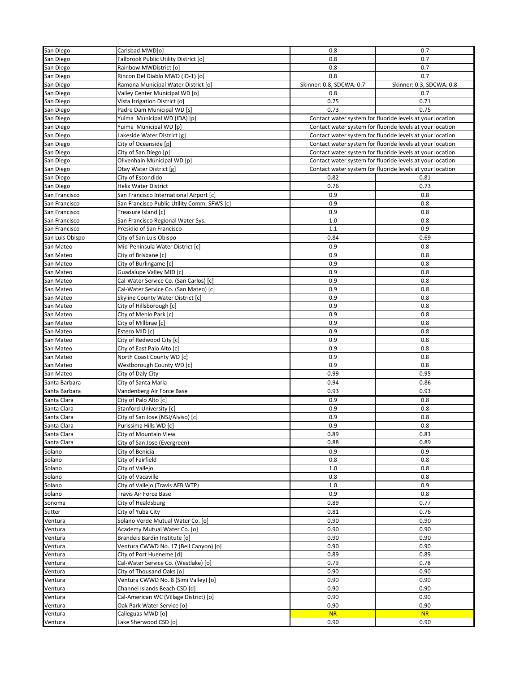| San Diego<br>Fallbrook Public Utility District [o]<br>San Diego<br>San Diego<br>Rainbow MWDistrict [o] | 0.8                      | 0.7                                                       |
|--------------------------------------------------------------------------------------------------------|--------------------------|-----------------------------------------------------------|
|                                                                                                        |                          |                                                           |
|                                                                                                        | 0.8                      | 0.7                                                       |
| Rincon Del Diablo MWD (ID-1) [o]<br>San Diego                                                          | 0.8                      | 0.7                                                       |
| Ramona Municipal Water District [o]<br>San Diego                                                       | Skinner: 0.8, SDCWA: 0.7 | Skinner: 0.3, SDCWA: 0.8                                  |
| San Diego<br>Valley Center Municipal WD [o]                                                            | 0.8                      | 0.7                                                       |
|                                                                                                        | 0.75                     | 0.71                                                      |
| San Diego<br>Vista Irrigation District [o]                                                             |                          |                                                           |
| Padre Dam Municipal WD [s]<br>San Diego                                                                | 0.73                     | 0.75                                                      |
| San Diego<br>Yuima Municipal WD (IDA) [p]                                                              |                          | Contact water system for fluoride levels at your location |
| Yuima Municipal WD [p]<br>San Diego                                                                    |                          | Contact water system for fluoride levels at your location |
| San Diego<br>Lakeside Water District [g]                                                               |                          | Contact water system for fluoride levels at your location |
| City of Oceanside [p]<br>San Diego                                                                     |                          | Contact water system for fluoride levels at your location |
| City of San Diego [p]<br>San Diego                                                                     |                          | Contact water system for fluoride levels at your location |
| Olivenhain Municipal WD [p]<br>San Diego                                                               |                          | Contact water system for fluoride levels at your location |
| San Diego<br>Otay Water District [g]                                                                   |                          | Contact water system for fluoride levels at your location |
| City of Escondido<br>San Diego                                                                         | 0.82                     | 0.81                                                      |
| Helix Water District<br>San Diego                                                                      | 0.76                     | 0.73                                                      |
|                                                                                                        |                          |                                                           |
| San Francisco<br>San Francisco International Airport [c]                                               | 0.9                      | 0.8                                                       |
| San Francisco Public Utility Comm. SFWS [c]<br>San Francisco                                           | 0.9                      | 0.8                                                       |
| Treasure Island [c]<br>San Francisco                                                                   | 0.9                      | 0.8                                                       |
| San Francisco<br>San Francisco Regional Water Sys.                                                     | 1.0                      | 0.8                                                       |
| Presidio of San Francisco<br>San Francisco                                                             | 1.1                      | 0.9                                                       |
| San Luis Obispo<br>City of San Luis Obispo                                                             | 0.84                     | 0.69                                                      |
| Mid-Peninsula Water District [c]<br>San Mateo                                                          | 0.9                      | 0.8                                                       |
| City of Brisbane [c]<br>San Mateo                                                                      | 0.9                      | 0.8                                                       |
| San Mateo<br>City of Burlingame [c]                                                                    | 0.9                      | 0.8                                                       |
| San Mateo<br>Guadalupe Valley MID [c]                                                                  | 0.9                      | 0.8                                                       |
|                                                                                                        |                          |                                                           |
| Cal-Water Service Co. (San Carlos) [c]<br>San Mateo                                                    | 0.9                      | 0.8                                                       |
| San Mateo<br>Cal-Water Service Co. (San Mateo) [c]                                                     | 0.9                      | 0.8                                                       |
| San Mateo<br>Skyline County Water District [c]                                                         | 0.9                      | 0.8                                                       |
| City of Hillsborough [c]<br>San Mateo                                                                  | 0.9                      | 0.8                                                       |
| San Mateo<br>City of Menlo Park [c]                                                                    | 0.9                      | 0.8                                                       |
| San Mateo<br>City of Millbrae [c]                                                                      | 0.9                      | 0.8                                                       |
| Estero MID [c]<br>San Mateo                                                                            | 0.9                      | 0.8                                                       |
| San Mateo<br>City of Redwood City [c]                                                                  | 0.9                      | 0.8                                                       |
| City of East Palo Alto [c]<br>San Mateo                                                                | 0.9                      | 0.8                                                       |
|                                                                                                        | 0.9                      | 0.8                                                       |
| North Coast County WD [c]<br>San Mateo                                                                 |                          |                                                           |
| San Mateo<br>Westborough County WD [c]                                                                 | 0.9                      | 0.8                                                       |
| San Mateo<br>City of Daly City                                                                         | 0.99                     | 0.95                                                      |
| Santa Barbara<br>City of Santa Maria                                                                   | 0.94                     | 0.86                                                      |
| Santa Barbara<br>Vandenberg Air Force Base                                                             | 0.93                     | 0.93                                                      |
| City of Palo Alto [c]<br>Santa Clara                                                                   | 0.9                      | 0.8                                                       |
| Santa Clara<br>Stanford University [c]                                                                 | 0.9                      | 0.8                                                       |
| Santa Clara<br>City of San Jose (NSJ/Alviso) [c]                                                       | 0.9                      | 0.8                                                       |
| Santa Clara<br>Purissima Hills WD [c]                                                                  | 0.9                      | 0.8                                                       |
|                                                                                                        |                          |                                                           |
| Santa Clara<br>City of Mountain View                                                                   | 0.89                     | 0.83                                                      |
| City of San Jose (Evergreen)<br>Santa Clara                                                            | 0.88                     | 0.89                                                      |
| Solano<br>City of Benicia                                                                              | 0.9                      | 0.9                                                       |
| City of Fairfield<br>Solano                                                                            | 0.8                      | 0.8                                                       |
| Solano<br>City of Vallejo                                                                              | 1.0                      | 0.8                                                       |
| Solano<br>City of Vacaville                                                                            | 0.8                      | 0.8                                                       |
| City of Vallejo (Travis AFB WTP)<br>Solano                                                             | 1.0                      | 0.9                                                       |
| Solano<br>Travis Air Force Base                                                                        | 0.9                      | 0.8                                                       |
| Sonoma<br>City of Healdsburg                                                                           | 0.89                     | 0.77                                                      |
| Sutter                                                                                                 | 0.81                     |                                                           |
| City of Yuba City                                                                                      |                          | 0.76                                                      |
| Ventura<br>Solano Verde Mutual Water Co. [o]                                                           | 0.90                     | 0.90                                                      |
| Academy Mutual Water Co. [o]<br>Ventura                                                                | 0.90                     | 0.90                                                      |
| Brandeis Bardin Institute [o]<br>Ventura                                                               | 0.90                     | 0.90                                                      |
| Ventura CWWD No. 17 (Bell Canyon) [o]<br>Ventura                                                       | 0.90                     | 0.90                                                      |
| City of Port Hueneme [d]<br>Ventura                                                                    | 0.89                     | 0.89                                                      |
| Cal-Water Service Co. (Westlake) [0]<br>Ventura                                                        | 0.79                     | 0.78                                                      |
| Ventura<br>City of Thousand Oaks [o]                                                                   | 0.90                     | 0.90                                                      |
| Ventura CWWD No. 8 (Simi Valley) [0]<br>Ventura                                                        | 0.90                     | 0.90                                                      |
| Channel Islands Beach CSD [d]                                                                          |                          | 0.90                                                      |
| Ventura                                                                                                | 0.90                     |                                                           |
| Cal-American WC (Village District) [0]<br>Ventura                                                      | 0.90                     | 0.90                                                      |
| Ventura<br>Oak Park Water Service [o]                                                                  | 0.90                     | 0.90                                                      |
|                                                                                                        | <b>NR</b>                | <b>NR</b>                                                 |
| Calleguas MWD [0]<br>Ventura<br>Lake Sherwood CSD [o]                                                  |                          |                                                           |